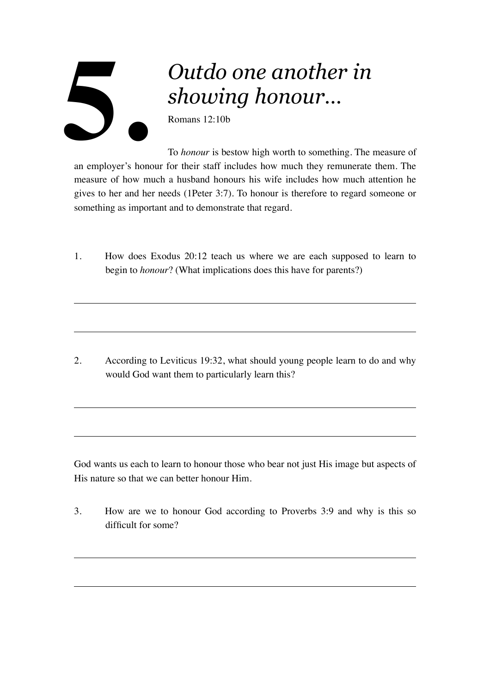## *Outdo one another in showing honour…* Romans 12:10b **5.**

To *honour* is bestow high worth to something. The measure of an employer's honour for their staff includes how much they remunerate them. The measure of how much a husband honours his wife includes how much attention he gives to her and her needs (1Peter 3:7). To honour is therefore to regard someone or something as important and to demonstrate that regard.

1. How does Exodus 20:12 teach us where we are each supposed to learn to begin to *honour*? (What implications does this have for parents?)

2. According to Leviticus 19:32, what should young people learn to do and why would God want them to particularly learn this?

God wants us each to learn to honour those who bear not just His image but aspects of His nature so that we can better honour Him.

3. How are we to honour God according to Proverbs 3:9 and why is this so difficult for some?